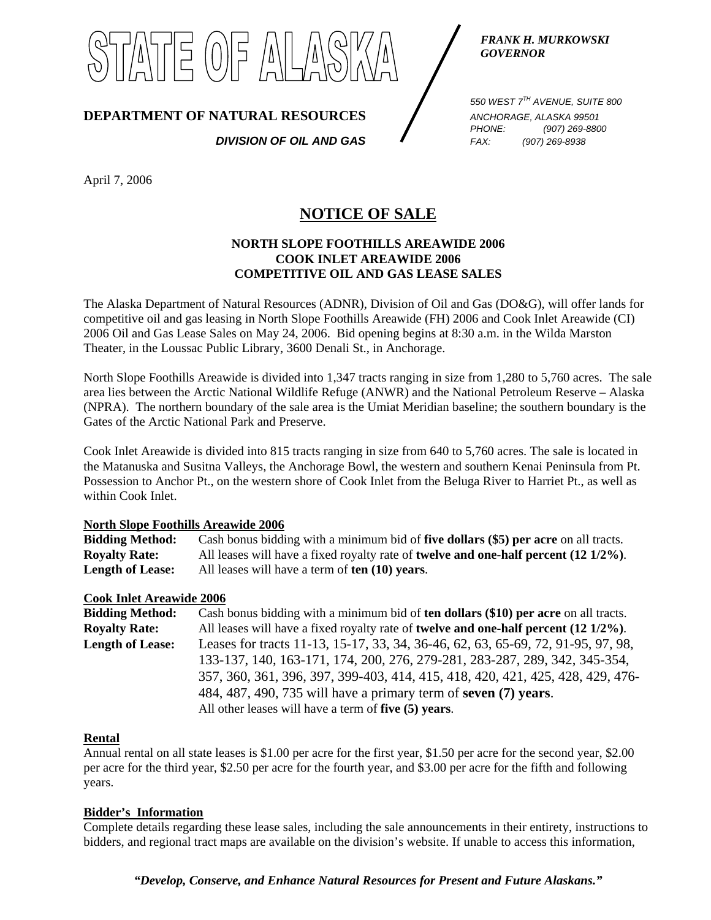

*FRANK H. MURKOWSKI GOVERNOR* 

**DEPARTMENT OF NATURAL RESOURCES** ANCHORAGE, ALASKA 99501

*DIVISION OF OIL AND GAS FAX: (907) 269-8938*

*550 WEST 7TH AVENUE, SUITE 800 PHONE: (907) 269-8800* 

April 7, 2006

# **NOTICE OF SALE**

## **NORTH SLOPE FOOTHILLS AREAWIDE 2006 COOK INLET AREAWIDE 2006 COMPETITIVE OIL AND GAS LEASE SALES**

The Alaska Department of Natural Resources (ADNR), Division of Oil and Gas (DO&G), will offer lands for competitive oil and gas leasing in North Slope Foothills Areawide (FH) 2006 and Cook Inlet Areawide (CI) 2006 Oil and Gas Lease Sales on May 24, 2006. Bid opening begins at 8:30 a.m. in the Wilda Marston Theater, in the Loussac Public Library, 3600 Denali St., in Anchorage.

North Slope Foothills Areawide is divided into 1,347 tracts ranging in size from 1,280 to 5,760 acres. The sale area lies between the Arctic National Wildlife Refuge (ANWR) and the National Petroleum Reserve – Alaska (NPRA). The northern boundary of the sale area is the Umiat Meridian baseline; the southern boundary is the Gates of the Arctic National Park and Preserve.

Cook Inlet Areawide is divided into 815 tracts ranging in size from 640 to 5,760 acres. The sale is located in the Matanuska and Susitna Valleys, the Anchorage Bowl, the western and southern Kenai Peninsula from Pt. Possession to Anchor Pt., on the western shore of Cook Inlet from the Beluga River to Harriet Pt., as well as within Cook Inlet.

#### **North Slope Foothills Areawide 2006**

| <b>Bidding Method:</b>  | Cash bonus bidding with a minimum bid of five dollars (\$5) per acre on all tracts.                   |
|-------------------------|-------------------------------------------------------------------------------------------------------|
| <b>Royalty Rate:</b>    | All leases will have a fixed royalty rate of <b>twelve and one-half percent</b> $(12\frac{1}{2\%})$ . |
| <b>Length of Lease:</b> | All leases will have a term of ten (10) years.                                                        |

### **Cook Inlet Areawide 2006**

| <b>Bidding Method:</b>  | Cash bonus bidding with a minimum bid of ten dollars (\$10) per acre on all tracts.             |
|-------------------------|-------------------------------------------------------------------------------------------------|
| <b>Royalty Rate:</b>    | All leases will have a fixed royalty rate of <b>twelve and one-half percent</b> $(12\ 1/2\%)$ . |
| <b>Length of Lease:</b> | Leases for tracts 11-13, 15-17, 33, 34, 36-46, 62, 63, 65-69, 72, 91-95, 97, 98,                |
|                         | 133-137, 140, 163-171, 174, 200, 276, 279-281, 283-287, 289, 342, 345-354,                      |
|                         | 357, 360, 361, 396, 397, 399-403, 414, 415, 418, 420, 421, 425, 428, 429, 476-                  |
|                         | 484, 487, 490, 735 will have a primary term of seven (7) years.                                 |
|                         | All other leases will have a term of five (5) years.                                            |

### **Rental**

Annual rental on all state leases is \$1.00 per acre for the first year, \$1.50 per acre for the second year, \$2.00 per acre for the third year, \$2.50 per acre for the fourth year, and \$3.00 per acre for the fifth and following years.

### **Bidder's Information**

Complete details regarding these lease sales, including the sale announcements in their entirety, instructions to bidders, and regional tract maps are available on the division's website. If unable to access this information,

*"Develop, Conserve, and Enhance Natural Resources for Present and Future Alaskans."*